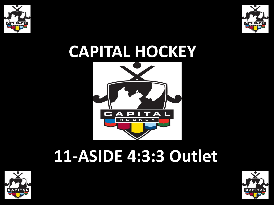



# **CAPITAL HOCKEY**



## **11-ASIDE 4:3:3 Outlet**



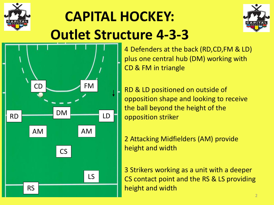





• 4 Defenders at the back (RD,CD,FM & LD) plus one central hub (DM) working with CD & FM in triangle

• RD & LD positioned on outside of opposition shape and looking to receive the ball beyond the height of the opposition striker

• 2 Attacking Midfielders (AM) provide height and width

• 3 Strikers working as a unit with a deeper CS contact point and the RS & LS providing height and width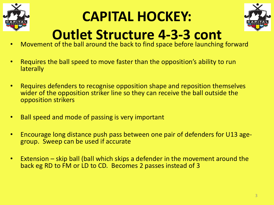

### **CAPITAL HOCKEY:**



#### **Outlet Structure 4-3-3 cont**

- Movement of the ball around the back to find space before launching forward
- Requires the ball speed to move faster than the opposition's ability to run **laterally**
- Requires defenders to recognise opposition shape and reposition themselves wider of the opposition striker line so they can receive the ball outside the opposition strikers
- Ball speed and mode of passing is very important
- Encourage long distance push pass between one pair of defenders for U13 agegroup. Sweep can be used if accurate
- Extension skip ball (ball which skips a defender in the movement around the back eg RD to FM or LD to CD. Becomes 2 passes instead of 3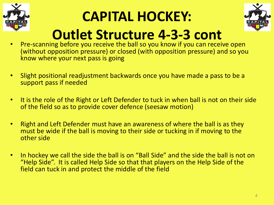

#### **CAPITAL HOCKEY:**



#### **Outlet Structure 4-3-3 cont**

- Pre-scanning before you receive the ball so you know if you can receive open (without opposition pressure) or closed (with opposition pressure) and so you know where your next pass is going
- Slight positional readjustment backwards once you have made a pass to be a support pass if needed
- It is the role of the Right or Left Defender to tuck in when ball is not on their side of the field so as to provide cover defence (seesaw motion)
- Right and Left Defender must have an awareness of where the ball is as they must be wide if the ball is moving to their side or tucking in if moving to the other side
- In hockey we call the side the ball is on "Ball Side" and the side the ball is not on "Help Side". It is called Help Side so that that players on the Help Side of the field can tuck in and protect the middle of the field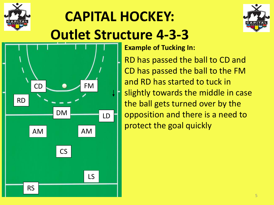





• **Example of Tucking In:**

• RD has passed the ball to CD and CD has passed the ball to the FM and RD has started to tuck in slightly towards the middle in case the ball gets turned over by the opposition and there is a need to protect the goal quickly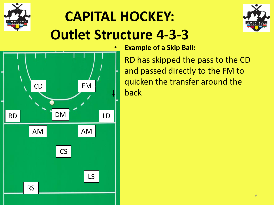





• **Example of a Skip Ball:**

• RD has skipped the pass to the CD and passed directly to the FM to quicken the transfer around the back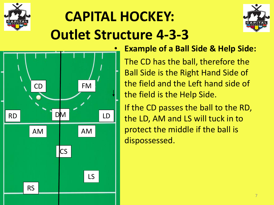





#### • **Example of a Ball Side & Help Side:**

The CD has the ball, therefore the Ball Side is the Right Hand Side of the field and the Left hand side of the field is the Help Side.

If the CD passes the ball to the RD, the LD, AM and LS will tuck in to protect the middle if the ball is dispossessed.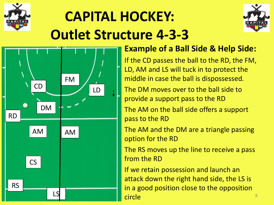





#### • **Example of a Ball Side & Help Side:**

If the CD passes the ball to the RD, the FM, LD, AM and LS will tuck in to protect the middle in case the ball is dispossessed.

The DM moves over to the ball side to provide a support pass to the RD

The AM on the ball side offers a support pass to the RD

The AM and the DM are a triangle passing option for the RD

The RS moves up the line to receive a pass from the RD

If we retain possession and launch an attack down the right hand side, the LS is in a good position close to the opposition circle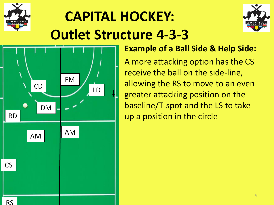





#### • **Example of a Ball Side & Help Side:**

• A more attacking option has the CS receive the ball on the side-line, allowing the RS to move to an even greater attacking position on the baseline/T-spot and the LS to take